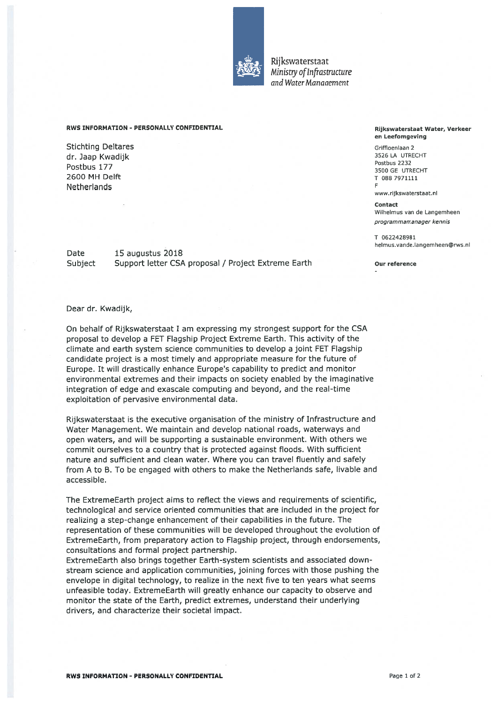

Rijkswaterstaat Ministry of Infrastructure and Water Manaaemenr

## RWS INFORMATION - PERSONALLY CONFIDENTIAL Rijkswaterstaat Water, Verkeer

Stichting Deltares Griffioenlaan 2<br>
Stichting Deltares Griffioenlaan 2<br>
Griffioenlaan Kwadiik dr. Jaap Kwadijk 3526 LA UTRECHTER 1999 VAN 1999 VAN 1999 VAN 1999 VAN 1999 VAN 1999 VAN 1999 VAN 1999 VAN 199<br>Teen van die 1999 van die 1999 van die 1999 van die 1999 van die 1999 van die 1999 van die 1999 van die 1999 v <sup>D</sup> fk <sup>1</sup> 7? Postbus <sup>2232</sup> os us <sup>3500</sup> GE UTRECHT  $2600$  MH Delft T 0887971111 **Netherlands** 

Date 15 augustus 2018 Subject Support letter CSA proposal / Project Extreme Earth Our reference

## en Leefomgeving

www.rijkswaterstaat.nl

Contact Wilhelmus van de Langemheen programmamanager kennis

T 0622428981 helmus.vande.Iangemheen@rws.nI

## Dear dr. Kwadijk,

On behalf of Rijkswaterstaat T am expressing my strongest suppor<sup>t</sup> for the CSA proposal to develop <sup>a</sup> EET Flagship Project Extreme Earth. This activity of the climate and earth system science communities to develop <sup>a</sup> joint EET Flagship candidate project is <sup>a</sup> most timely and appropriate measure for the future of Europe. It will drastically enhance Europe's capability to predict and monitor environmental extremes and their impacts on society enabled by the imaginative integration of edge and exascale computing and beyond, and the real-time exploitation of pervasive environmental data.

Rijkswaterstaat is the executive organisation of the ministry of Infrastructure and Water Management. We maintain and develop national roads, waterways and open waters, and will be suppofting <sup>a</sup> sustainable environment. With others we commit ourselves to <sup>a</sup> country that is protected against floods. With sufficient nature and sufficient and clean water. Where you can travel fluently and safely from A to B. To be engaged with others to make the Netherlands safe, livable and accessible.

The ExtremeEarth project aims to reflect the views and requirements of scientific, technological and service oriented communities that are included in the project for realizing <sup>a</sup> step-change enhancement of their capabilities in the future. The representation of these communities will be developed throughout the evolution of ExtremeEarth, from preparatory action to Elagship project, through endorsements, consultations and formal project partnership.

ExtremeEarth also brings together Earth-system scientists and associated down stream science and application communities, joining forces with those pushing the envelope in digital technology, to realize in the next five to ten years what seems unfeasible today. ExtremeEarth will greatly enhance our capacity to observe and monitor the state of the Earth, predict extremes, understand their underlying drivers, and characterize their societal impact.